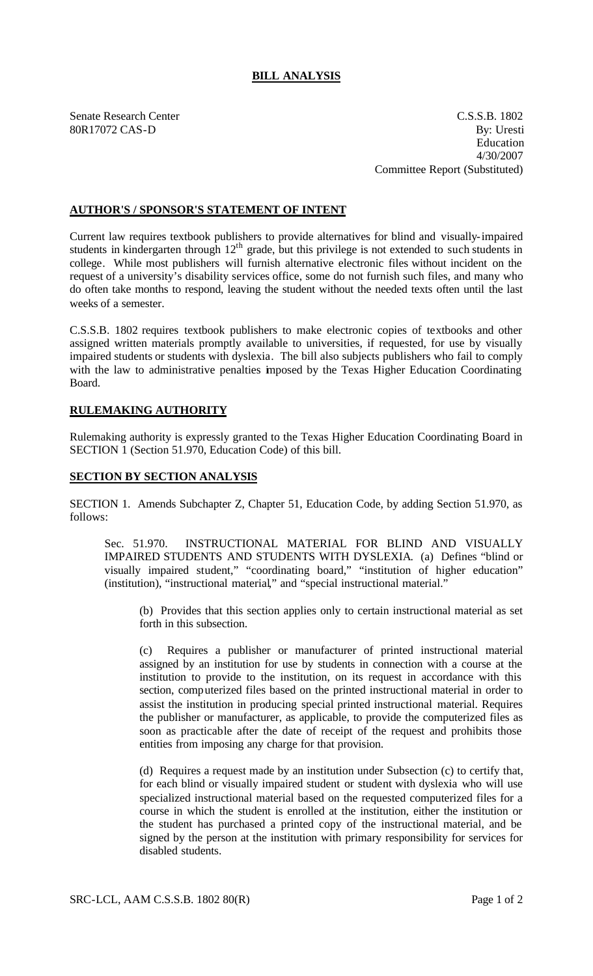## **BILL ANALYSIS**

Senate Research Center C.S.S.B. 1802 80R17072 CAS-D By: Uresti Education 4/30/2007 Committee Report (Substituted)

## **AUTHOR'S / SPONSOR'S STATEMENT OF INTENT**

Current law requires textbook publishers to provide alternatives for blind and visually-impaired students in kindergarten through  $12<sup>th</sup>$  grade, but this privilege is not extended to such students in college. While most publishers will furnish alternative electronic files without incident on the request of a university's disability services office, some do not furnish such files, and many who do often take months to respond, leaving the student without the needed texts often until the last weeks of a semester.

C.S.S.B. 1802 requires textbook publishers to make electronic copies of textbooks and other assigned written materials promptly available to universities, if requested, for use by visually impaired students or students with dyslexia. The bill also subjects publishers who fail to comply with the law to administrative penalties imposed by the Texas Higher Education Coordinating Board.

## **RULEMAKING AUTHORITY**

Rulemaking authority is expressly granted to the Texas Higher Education Coordinating Board in SECTION 1 (Section 51.970, Education Code) of this bill.

## **SECTION BY SECTION ANALYSIS**

SECTION 1. Amends Subchapter Z, Chapter 51, Education Code, by adding Section 51.970, as follows:

Sec. 51.970. INSTRUCTIONAL MATERIAL FOR BLIND AND VISUALLY IMPAIRED STUDENTS AND STUDENTS WITH DYSLEXIA. (a) Defines "blind or visually impaired student," "coordinating board," "institution of higher education" (institution), "instructional material," and "special instructional material."

(b) Provides that this section applies only to certain instructional material as set forth in this subsection.

(c) Requires a publisher or manufacturer of printed instructional material assigned by an institution for use by students in connection with a course at the institution to provide to the institution, on its request in accordance with this section, computerized files based on the printed instructional material in order to assist the institution in producing special printed instructional material. Requires the publisher or manufacturer, as applicable, to provide the computerized files as soon as practicable after the date of receipt of the request and prohibits those entities from imposing any charge for that provision.

(d) Requires a request made by an institution under Subsection (c) to certify that, for each blind or visually impaired student or student with dyslexia who will use specialized instructional material based on the requested computerized files for a course in which the student is enrolled at the institution, either the institution or the student has purchased a printed copy of the instructional material, and be signed by the person at the institution with primary responsibility for services for disabled students.